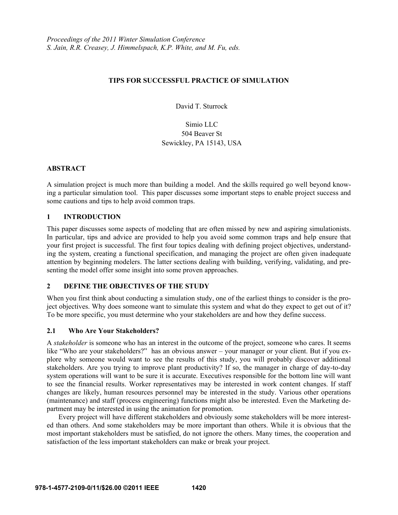## **TIPS FOR SUCCESSFUL PRACTICE OF SIMULATION**

David T. Sturrock

# Simio LLC 504 Beaver St Sewickley, PA 15143, USA

## **ABSTRACT**

A simulation project is much more than building a model. And the skills required go well beyond knowing a particular simulation tool. This paper discusses some important steps to enable project success and some cautions and tips to help avoid common traps.

## **1 INTRODUCTION**

This paper discusses some aspects of modeling that are often missed by new and aspiring simulationists. In particular, tips and advice are provided to help you avoid some common traps and help ensure that your first project is successful. The first four topics dealing with defining project objectives, understanding the system, creating a functional specification, and managing the project are often given inadequate attention by beginning modelers. The latter sections dealing with building, verifying, validating, and presenting the model offer some insight into some proven approaches.

# **2 DEFINE THE OBJECTIVES OF THE STUDY**

When you first think about conducting a simulation study, one of the earliest things to consider is the project objectives. Why does someone want to simulate this system and what do they expect to get out of it? To be more specific, you must determine who your stakeholders are and how they define success.

## **2.1 Who Are Your Stakeholders?**

A *stakeholder* is someone who has an interest in the outcome of the project, someone who cares. It seems like "Who are your stakeholders?" has an obvious answer – your manager or your client. But if you explore why someone would want to see the results of this study, you will probably discover additional stakeholders. Are you trying to improve plant productivity? If so, the manager in charge of day-to-day system operations will want to be sure it is accurate. Executives responsible for the bottom line will want to see the financial results. Worker representatives may be interested in work content changes. If staff changes are likely, human resources personnel may be interested in the study. Various other operations (maintenance) and staff (process engineering) functions might also be interested. Even the Marketing department may be interested in using the animation for promotion.

Every project will have different stakeholders and obviously some stakeholders will be more interested than others. And some stakeholders may be more important than others. While it is obvious that the most important stakeholders must be satisfied, do not ignore the others. Many times, the cooperation and satisfaction of the less important stakeholders can make or break your project.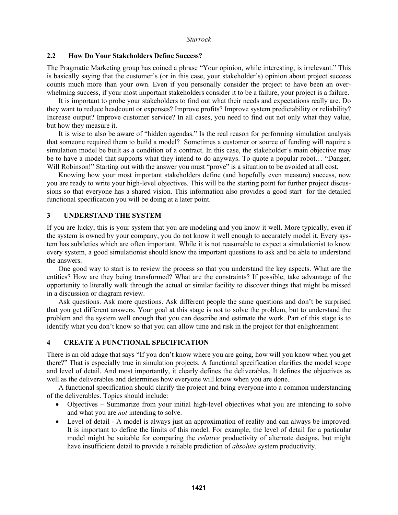## **2.2 How Do Your Stakeholders Define Success?**

The Pragmatic Marketing group has coined a phrase "Your opinion, while interesting, is irrelevant." This is basically saying that the customer's (or in this case, your stakeholder's) opinion about project success counts much more than your own. Even if you personally consider the project to have been an overwhelming success, if your most important stakeholders consider it to be a failure, your project is a failure.

It is important to probe your stakeholders to find out what their needs and expectations really are. Do they want to reduce headcount or expenses? Improve profits? Improve system predictability or reliability? Increase output? Improve customer service? In all cases, you need to find out not only what they value, but how they measure it.

It is wise to also be aware of "hidden agendas." Is the real reason for performing simulation analysis that someone required them to build a model? Sometimes a customer or source of funding will require a simulation model be built as a condition of a contract. In this case, the stakeholder's main objective may be to have a model that supports what they intend to do anyways. To quote a popular robot… "Danger, Will Robinson!" Starting out with the answer you must "prove" is a situation to be avoided at all cost.

Knowing how your most important stakeholders define (and hopefully even measure) success, now you are ready to write your high-level objectives. This will be the starting point for further project discussions so that everyone has a shared vision. This information also provides a good start for the detailed functional specification you will be doing at a later point.

## **3 UNDERSTAND THE SYSTEM**

If you are lucky, this is your system that you are modeling and you know it well. More typically, even if the system is owned by your company, you do not know it well enough to accurately model it. Every system has subtleties which are often important. While it is not reasonable to expect a simulationist to know every system, a good simulationist should know the important questions to ask and be able to understand the answers.

One good way to start is to review the process so that you understand the key aspects. What are the entities? How are they being transformed? What are the constraints? If possible, take advantage of the opportunity to literally walk through the actual or similar facility to discover things that might be missed in a discussion or diagram review.

Ask questions. Ask more questions. Ask different people the same questions and don't be surprised that you get different answers. Your goal at this stage is not to solve the problem, but to understand the problem and the system well enough that you can describe and estimate the work. Part of this stage is to identify what you don't know so that you can allow time and risk in the project for that enlightenment.

# **4 CREATE A FUNCTIONAL SPECIFICATION**

There is an old adage that says "If you don't know where you are going, how will you know when you get there?" That is especially true in simulation projects. A functional specification clarifies the model scope and level of detail. And most importantly, it clearly defines the deliverables. It defines the objectives as well as the deliverables and determines how everyone will know when you are done.

A functional specification should clarify the project and bring everyone into a common understanding of the deliverables. Topics should include:

- Objectives Summarize from your initial high-level objectives what you are intending to solve and what you are *not* intending to solve.
- Level of detail A model is always just an approximation of reality and can always be improved. It is important to define the limits of this model. For example, the level of detail for a particular model might be suitable for comparing the *relative* productivity of alternate designs, but might have insufficient detail to provide a reliable prediction of *absolute* system productivity.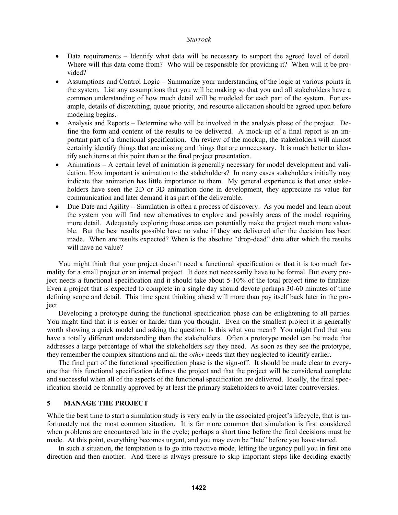- Data requirements Identify what data will be necessary to support the agreed level of detail. Where will this data come from? Who will be responsible for providing it? When will it be provided?
- Assumptions and Control Logic Summarize your understanding of the logic at various points in the system. List any assumptions that you will be making so that you and all stakeholders have a common understanding of how much detail will be modeled for each part of the system. For example, details of dispatching, queue priority, and resource allocation should be agreed upon before modeling begins.
- Analysis and Reports Determine who will be involved in the analysis phase of the project. Define the form and content of the results to be delivered. A mock-up of a final report is an important part of a functional specification. On review of the mockup, the stakeholders will almost certainly identify things that are missing and things that are unnecessary. It is much better to identify such items at this point than at the final project presentation.
- Animations A certain level of animation is generally necessary for model development and validation. How important is animation to the stakeholders? In many cases stakeholders initially may indicate that animation has little importance to them. My general experience is that once stakeholders have seen the 2D or 3D animation done in development, they appreciate its value for communication and later demand it as part of the deliverable.
- Due Date and Agility Simulation is often a process of discovery. As you model and learn about the system you will find new alternatives to explore and possibly areas of the model requiring more detail. Adequately exploring those areas can potentially make the project much more valuable. But the best results possible have no value if they are delivered after the decision has been made. When are results expected? When is the absolute "drop-dead" date after which the results will have no value?

You might think that your project doesn't need a functional specification or that it is too much formality for a small project or an internal project. It does not necessarily have to be formal. But every project needs a functional specification and it should take about 5-10% of the total project time to finalize. Even a project that is expected to complete in a single day should devote perhaps 30-60 minutes of time defining scope and detail. This time spent thinking ahead will more than pay itself back later in the project.

Developing a prototype during the functional specification phase can be enlightening to all parties. You might find that it is easier or harder than you thought. Even on the smallest project it is generally worth showing a quick model and asking the question: Is this what you mean? You might find that you have a totally different understanding than the stakeholders. Often a prototype model can be made that addresses a large percentage of what the stakeholders *say* they need. As soon as they see the prototype, they remember the complex situations and all the *other* needs that they neglected to identify earlier.

The final part of the functional specification phase is the sign-off. It should be made clear to everyone that this functional specification defines the project and that the project will be considered complete and successful when all of the aspects of the functional specification are delivered. Ideally, the final specification should be formally approved by at least the primary stakeholders to avoid later controversies.

#### **5 MANAGE THE PROJECT**

While the best time to start a simulation study is very early in the associated project's lifecycle, that is unfortunately not the most common situation. It is far more common that simulation is first considered when problems are encountered late in the cycle; perhaps a short time before the final decisions must be made. At this point, everything becomes urgent, and you may even be "late" before you have started.

In such a situation, the temptation is to go into reactive mode, letting the urgency pull you in first one direction and then another. And there is always pressure to skip important steps like deciding exactly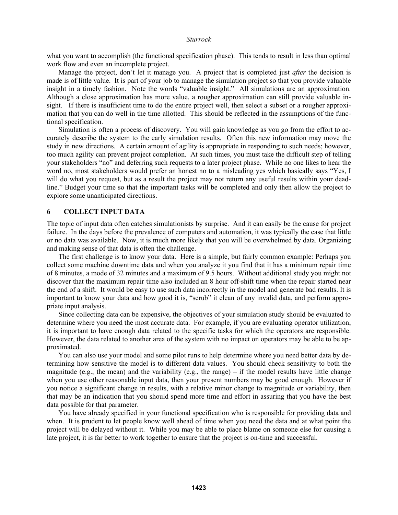what you want to accomplish (the functional specification phase). This tends to result in less than optimal work flow and even an incomplete project.

Manage the project, don't let it manage you. A project that is completed just *after* the decision is made is of little value. It is part of your job to manage the simulation project so that you provide valuable insight in a timely fashion. Note the words "valuable insight." All simulations are an approximation. Although a close approximation has more value, a rougher approximation can still provide valuable insight. If there is insufficient time to do the entire project well, then select a subset or a rougher approximation that you can do well in the time allotted. This should be reflected in the assumptions of the functional specification.

Simulation is often a process of discovery. You will gain knowledge as you go from the effort to accurately describe the system to the early simulation results. Often this new information may move the study in new directions. A certain amount of agility is appropriate in responding to such needs; however, too much agility can prevent project completion. At such times, you must take the difficult step of telling your stakeholders "no" and deferring such requests to a later project phase. While no one likes to hear the word no, most stakeholders would prefer an honest no to a misleading yes which basically says "Yes, I will do what you request, but as a result the project may not return any useful results within your deadline." Budget your time so that the important tasks will be completed and only then allow the project to explore some unanticipated directions.

### **6 COLLECT INPUT DATA**

The topic of input data often catches simulationists by surprise. And it can easily be the cause for project failure. In the days before the prevalence of computers and automation, it was typically the case that little or no data was available. Now, it is much more likely that you will be overwhelmed by data. Organizing and making sense of that data is often the challenge.

The first challenge is to know your data. Here is a simple, but fairly common example: Perhaps you collect some machine downtime data and when you analyze it you find that it has a minimum repair time of 8 minutes, a mode of 32 minutes and a maximum of 9.5 hours. Without additional study you might not discover that the maximum repair time also included an 8 hour off-shift time when the repair started near the end of a shift. It would be easy to use such data incorrectly in the model and generate bad results. It is important to know your data and how good it is, "scrub" it clean of any invalid data, and perform appropriate input analysis.

Since collecting data can be expensive, the objectives of your simulation study should be evaluated to determine where you need the most accurate data. For example, if you are evaluating operator utilization, it is important to have enough data related to the specific tasks for which the operators are responsible. However, the data related to another area of the system with no impact on operators may be able to be approximated.

You can also use your model and some pilot runs to help determine where you need better data by determining how sensitive the model is to different data values. You should check sensitivity to both the magnitude (e.g., the mean) and the variability (e.g., the range) – if the model results have little change when you use other reasonable input data, then your present numbers may be good enough. However if you notice a significant change in results, with a relative minor change to magnitude or variability, then that may be an indication that you should spend more time and effort in assuring that you have the best data possible for that parameter.

You have already specified in your functional specification who is responsible for providing data and when. It is prudent to let people know well ahead of time when you need the data and at what point the project will be delayed without it. While you may be able to place blame on someone else for causing a late project, it is far better to work together to ensure that the project is on-time and successful.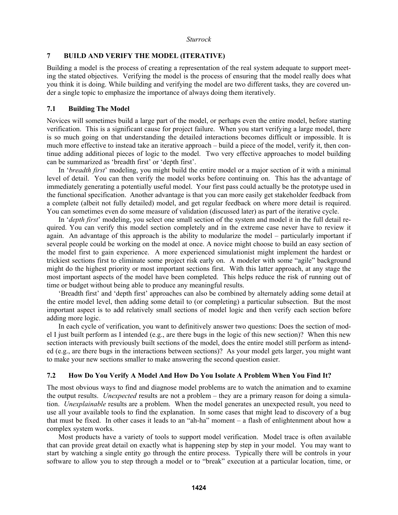# **7 BUILD AND VERIFY THE MODEL (ITERATIVE)**

Building a model is the process of creating a representation of the real system adequate to support meeting the stated objectives. Verifying the model is the process of ensuring that the model really does what you think it is doing. While building and verifying the model are two different tasks, they are covered under a single topic to emphasize the importance of always doing them iteratively.

## **7.1 Building The Model**

Novices will sometimes build a large part of the model, or perhaps even the entire model, before starting verification. This is a significant cause for project failure. When you start verifying a large model, there is so much going on that understanding the detailed interactions becomes difficult or impossible. It is much more effective to instead take an iterative approach – build a piece of the model, verify it, then continue adding additional pieces of logic to the model. Two very effective approaches to model building can be summarized as 'breadth first' or 'depth first'.

In '*breadth first*' modeling, you might build the entire model or a major section of it with a minimal level of detail. You can then verify the model works before continuing on. This has the advantage of immediately generating a potentially useful model. Your first pass could actually be the prototype used in the functional specification. Another advantage is that you can more easily get stakeholder feedback from a complete (albeit not fully detailed) model, and get regular feedback on where more detail is required. You can sometimes even do some measure of validation (discussed later) as part of the iterative cycle.

In '*depth first*' modeling, you select one small section of the system and model it in the full detail required. You can verify this model section completely and in the extreme case never have to review it again. An advantage of this approach is the ability to modularize the model – particularly important if several people could be working on the model at once. A novice might choose to build an easy section of the model first to gain experience. A more experienced simulationist might implement the hardest or trickiest sections first to eliminate some project risk early on. A modeler with some "agile" background might do the highest priority or most important sections first. With this latter approach, at any stage the most important aspects of the model have been completed. This helps reduce the risk of running out of time or budget without being able to produce any meaningful results.

'Breadth first' and 'depth first' approaches can also be combined by alternately adding some detail at the entire model level, then adding some detail to (or completing) a particular subsection. But the most important aspect is to add relatively small sections of model logic and then verify each section before adding more logic.

In each cycle of verification, you want to definitively answer two questions: Does the section of model I just built perform as I intended (e.g., are there bugs in the logic of this new section)? When this new section interacts with previously built sections of the model, does the entire model still perform as intended (e.g., are there bugs in the interactions between sections)? As your model gets larger, you might want to make your new sections smaller to make answering the second question easier.

# **7.2 How Do You Verify A Model And How Do You Isolate A Problem When You Find It?**

The most obvious ways to find and diagnose model problems are to watch the animation and to examine the output results. *Unexpected* results are not a problem – they are a primary reason for doing a simulation. *Unexplainable* results are a problem. When the model generates an unexpected result, you need to use all your available tools to find the explanation. In some cases that might lead to discovery of a bug that must be fixed. In other cases it leads to an "ah-ha" moment – a flash of enlightenment about how a complex system works.

Most products have a variety of tools to support model verification. Model trace is often available that can provide great detail on exactly what is happening step by step in your model. You may want to start by watching a single entity go through the entire process. Typically there will be controls in your software to allow you to step through a model or to "break" execution at a particular location, time, or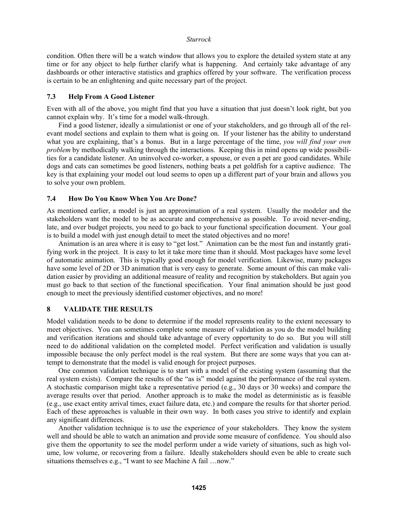condition. Often there will be a watch window that allows you to explore the detailed system state at any time or for any object to help further clarify what is happening. And certainly take advantage of any dashboards or other interactive statistics and graphics offered by your software. The verification process is certain to be an enlightening and quite necessary part of the project.

#### **7.3 Help From A Good Listener**

Even with all of the above, you might find that you have a situation that just doesn't look right, but you cannot explain why. It's time for a model walk-through.

Find a good listener, ideally a simulationist or one of your stakeholders, and go through all of the relevant model sections and explain to them what is going on. If your listener has the ability to understand what you are explaining, that's a bonus. But in a large percentage of the time, *you will find your own problem* by methodically walking through the interactions. Keeping this in mind opens up wide possibilities for a candidate listener. An uninvolved co-worker, a spouse, or even a pet are good candidates. While dogs and cats can sometimes be good listeners, nothing beats a pet goldfish for a captive audience. The key is that explaining your model out loud seems to open up a different part of your brain and allows you to solve your own problem.

## **7.4 How Do You Know When You Are Done?**

As mentioned earlier, a model is just an approximation of a real system. Usually the modeler and the stakeholders want the model to be as accurate and comprehensive as possible. To avoid never-ending, late, and over budget projects, you need to go back to your functional specification document. Your goal is to build a model with just enough detail to meet the stated objectives and no more!

Animation is an area where it is easy to "get lost." Animation can be the most fun and instantly gratifying work in the project. It is easy to let it take more time than it should. Most packages have some level of automatic animation. This is typically good enough for model verification. Likewise, many packages have some level of 2D or 3D animation that is very easy to generate. Some amount of this can make validation easier by providing an additional measure of reality and recognition by stakeholders. But again you must go back to that section of the functional specification. Your final animation should be just good enough to meet the previously identified customer objectives, and no more!

## **8 VALIDATE THE RESULTS**

Model validation needs to be done to determine if the model represents reality to the extent necessary to meet objectives. You can sometimes complete some measure of validation as you do the model building and verification iterations and should take advantage of every opportunity to do so. But you will still need to do additional validation on the completed model. Perfect verification and validation is usually impossible because the only perfect model is the real system. But there are some ways that you can attempt to demonstrate that the model is valid enough for project purposes.

One common validation technique is to start with a model of the existing system (assuming that the real system exists). Compare the results of the "as is" model against the performance of the real system. A stochastic comparison might take a representative period (e.g., 30 days or 30 weeks) and compare the average results over that period. Another approach is to make the model as deterministic as is feasible (e.g., use exact entity arrival times, exact failure data, etc.) and compare the results for that shorter period. Each of these approaches is valuable in their own way. In both cases you strive to identify and explain any significant differences.

Another validation technique is to use the experience of your stakeholders. They know the system well and should be able to watch an animation and provide some measure of confidence. You should also give them the opportunity to see the model perform under a wide variety of situations, such as high volume, low volume, or recovering from a failure. Ideally stakeholders should even be able to create such situations themselves e.g., "I want to see Machine A fail …now."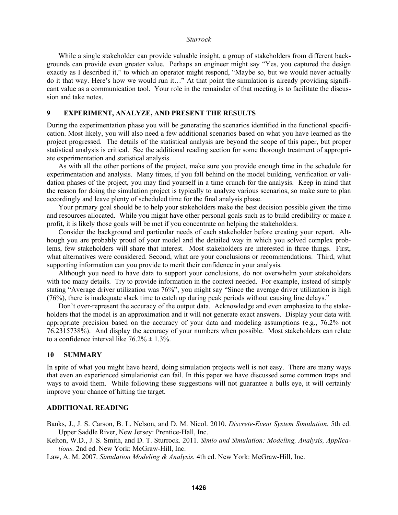While a single stakeholder can provide valuable insight, a group of stakeholders from different backgrounds can provide even greater value. Perhaps an engineer might say "Yes, you captured the design exactly as I described it," to which an operator might respond, "Maybe so, but we would never actually do it that way. Here's how we would run it…" At that point the simulation is already providing significant value as a communication tool. Your role in the remainder of that meeting is to facilitate the discussion and take notes.

#### **9 EXPERIMENT, ANALYZE, AND PRESENT THE RESULTS**

During the experimentation phase you will be generating the scenarios identified in the functional specification. Most likely, you will also need a few additional scenarios based on what you have learned as the project progressed. The details of the statistical analysis are beyond the scope of this paper, but proper statistical analysis is critical. See the additional reading section for some thorough treatment of appropriate experimentation and statistical analysis.

As with all the other portions of the project, make sure you provide enough time in the schedule for experimentation and analysis. Many times, if you fall behind on the model building, verification or validation phases of the project, you may find yourself in a time crunch for the analysis. Keep in mind that the reason for doing the simulation project is typically to analyze various scenarios, so make sure to plan accordingly and leave plenty of scheduled time for the final analysis phase.

Your primary goal should be to help your stakeholders make the best decision possible given the time and resources allocated. While you might have other personal goals such as to build credibility or make a profit, it is likely those goals will be met if you concentrate on helping the stakeholders.

Consider the background and particular needs of each stakeholder before creating your report. Although you are probably proud of your model and the detailed way in which you solved complex problems, few stakeholders will share that interest. Most stakeholders are interested in three things. First, what alternatives were considered. Second, what are your conclusions or recommendations. Third, what supporting information can you provide to merit their confidence in your analysis.

Although you need to have data to support your conclusions, do not overwhelm your stakeholders with too many details. Try to provide information in the context needed. For example, instead of simply stating "Average driver utilization was 76%", you might say "Since the average driver utilization is high (76%), there is inadequate slack time to catch up during peak periods without causing line delays."

Don't over-represent the accuracy of the output data. Acknowledge and even emphasize to the stakeholders that the model is an approximation and it will not generate exact answers. Display your data with appropriate precision based on the accuracy of your data and modeling assumptions (e.g., 76.2% not 76.2315738%). And display the accuracy of your numbers when possible. Most stakeholders can relate to a confidence interval like  $76.2\% \pm 1.3\%$ .

#### **10 SUMMARY**

In spite of what you might have heard, doing simulation projects well is not easy. There are many ways that even an experienced simulationist can fail. In this paper we have discussed some common traps and ways to avoid them. While following these suggestions will not guarantee a bulls eye, it will certainly improve your chance of hitting the target.

# **ADDITIONAL READING**

Banks, J., J. S. Carson, B. L. Nelson, and D. M. Nicol. 2010. *Discrete-Event System Simulation*. 5th ed. Upper Saddle River, New Jersey: Prentice-Hall, Inc.

Kelton, W.D., J. S. Smith, and D. T. Sturrock. 2011. *Simio and Simulation: Modeling, Analysis, Applications.* 2nd ed. New York: McGraw-Hill, Inc.

Law, A. M. 2007. *Simulation Modeling & Analysis.* 4th ed. New York: McGraw-Hill, Inc.